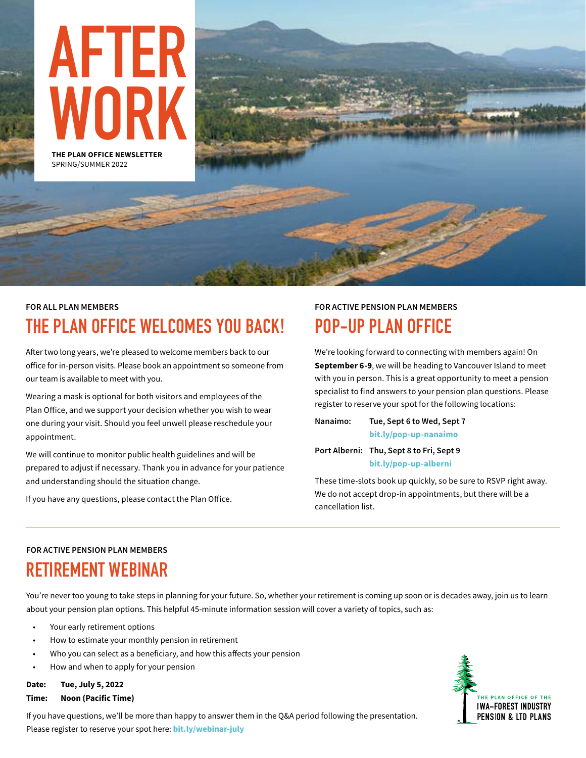

## **FOR ALL PLAN MEMBERS THE PLAN OFFICE WELCOMES YOU BACK!**

After two long years, we're pleased to welcome members back to our office for in-person visits. Please book an appointment so someone from our team is available to meet with you.

Wearing a mask is optional for both visitors and employees of the Plan Office, and we support your decision whether you wish to wear one during your visit. Should you feel unwell please reschedule your appointment.

We will continue to monitor public health guidelines and will be prepared to adjust if necessary. Thank you in advance for your patience and understanding should the situation change.

If you have any questions, please [contact the Plan Office.](http://www.iwafibp.ca/contact-us)

### **FOR ACTIVE PENSION PLAN MEMBERS POP-UP PLAN OFFICE**

We're looking forward to connecting with members again! On **September 6-9**, we will be heading to Vancouver Island to meet with you in person. This is a great opportunity to meet a pension specialist to find answers to your pension plan questions. Please register to reserve your spot for the following locations:

**Nanaimo: Tue, Sept 6 to Wed, Sept 7 [bit.ly/pop-up-nanaimo](https://calendly.com/plan-office/pop-up-plan-office-nanaimo?month=2022-09)**

**Port Alberni: Thu, Sept 8 to Fri, Sept 9 [bit.ly/pop-up-alberni](https://calendly.com/plan-office/pop-up-plan-office-alberni?month=2022-09)**

These time-slots book up quickly, so be sure to RSVP right away. We do not accept drop-in appointments, but there will be a cancellation list.

### **FOR ACTIVE PENSION PLAN MEMBERS**

## **RETIREMENT WEBINAR**

You're never too young to take steps in planning for your future. So, whether your retirement is coming up soon or is decades away, join us to learn about your pension plan options. This helpful 45-minute information session will cover a variety of topics, such as:

- Your early retirement options
- How to estimate your monthly pension in retirement
- Who you can select as a beneficiary, and how this affects your pension
- How and when to apply for your pension

### **Date: Tue, July 5, 2022**

#### **Time: Noon (Pacific Time)**

If you have questions, we'll be more than happy to answer them in the Q&A period following the presentation. Please register to reserve your spot here: **[bit.ly/webinar-july](https://us02web.zoom.us/webinar/register/WN_tBvlf-huRDyB8FrwHXpPEA)**

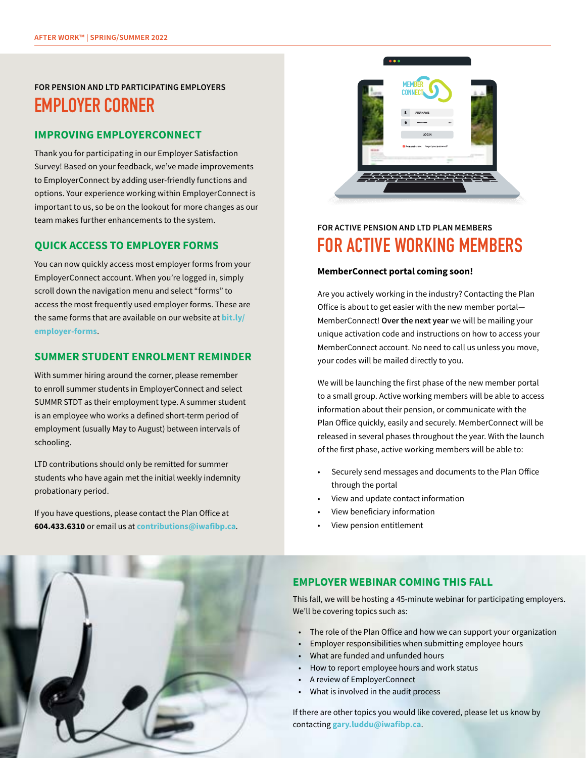### **FOR PENSION AND LTD PARTICIPATING EMPLOYERS EMPLOYER CORNER**

### **IMPROVING EMPLOYERCONNECT**

Thank you for participating in our Employer Satisfaction Survey! Based on your feedback, we've made improvements to EmployerConnect by adding user-friendly functions and options. Your experience working within EmployerConnect is important to us, so be on the lookout for more changes as our team makes further enhancements to the system.

### **QUICK ACCESS TO EMPLOYER FORMS**

You can now quickly access most employer forms from your EmployerConnect account. When you're logged in, simply scroll down the navigation menu and select "forms" to access the most frequently used employer forms. These are the same forms that are available on our website at **[bit.ly/](http://www.iwafibp.ca/employer-forms) [employer-forms](http://www.iwafibp.ca/employer-forms)**.

### **SUMMER STUDENT ENROLMENT REMINDER**

With summer hiring around the corner, please remember to enroll summer students in EmployerConnect and select SUMMR STDT as their employment type. A summer student is an employee who works a defined short-term period of employment (usually May to August) between intervals of schooling.

LTD contributions should only be remitted for summer students who have again met the initial weekly indemnity probationary period.

If you have questions, please contact the Plan Office at **[604.433.6310](tel:6044336310)** or email us at **[contributions@iwafibp.ca](mailto:contributions@iwafibp.ca)**.



### **FOR ACTIVE PENSION AND LTD PLAN MEMBERS FOR ACTIVE WORKING MEMBERS**

#### **MemberConnect portal coming soon!**

Are you actively working in the industry? Contacting the Plan Office is about to get easier with the new member portal— MemberConnect! **Over the next year** we will be mailing your unique activation code and instructions on how to access your MemberConnect account. No need to call us unless you move, your codes will be mailed directly to you.

We will be launching the first phase of the new member portal to a small group. Active working members will be able to access information about their pension, or communicate with the Plan Office quickly, easily and securely. MemberConnect will be released in several phases throughout the year. With the launch of the first phase, active working members will be able to:

- Securely send messages and documents to the Plan Office through the portal
- View and update contact information
- View beneficiary information
- View pension entitlement



### **EMPLOYER WEBINAR COMING THIS FALL**

This fall, we will be hosting a 45-minute webinar for participating employers. We'll be covering topics such as:

- The role of the Plan Office and how we can support your organization
- Employer responsibilities when submitting employee hours
- What are funded and unfunded hours
- How to report employee hours and work status
- A review of EmployerConnect
- What is involved in the audit process

If there are other topics you would like covered, please let us know by contacting **[gary.luddu@iwafibp.ca](mailto:gary.luddu@iwafibp.ca)**.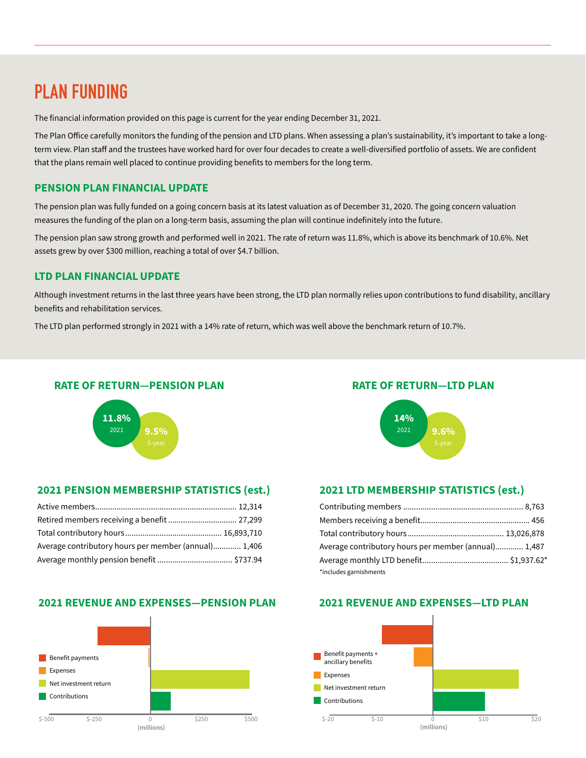## **PLAN FUNDING**

The financial information provided on this page is current for the year ending December 31, 2021.

The Plan Office carefully monitors the funding of the pension and LTD plans. When assessing a plan's sustainability, it's important to take a longterm view. Plan staff and the trustees have worked hard for over four decades to create a well-diversified portfolio of assets. We are confident that the plans remain well placed to continue providing benefits to members for the long term.

### **PENSION PLAN FINANCIAL UPDATE**

The pension plan was fully funded on a going concern basis at its latest valuation as of December 31, 2020. The going concern valuation measures the funding of the plan on a long-term basis, assuming the plan will continue indefinitely into the future.

The pension plan saw strong growth and performed well in 2021. The rate of return was 11.8%, which is above its benchmark of 10.6%. Net assets grew by over \$300 million, reaching a total of over \$4.7 billion.

### **LTD PLAN FINANCIAL UPDATE**

Although investment returns in the last three years have been strong, the LTD plan normally relies upon contributions to fund disability, ancillary benefits and rehabilitation services.

The LTD plan performed strongly in 2021 with a 14% rate of return, which was well above the benchmark return of 10.7%.

### **RATE OF RETURN—PENSION PLAN**



### **2021 PENSION MEMBERSHIP STATISTICS (est.)**

| Average contributory hours per member (annual) 1,406 |  |
|------------------------------------------------------|--|
|                                                      |  |

### **2021 REVENUE AND EXPENSES—PENSION PLAN**



### **RATE OF RETURN—LTD PLAN**



### **2021 LTD MEMBERSHIP STATISTICS (est.)**

| Average contributory hours per member (annual) 1,487 |  |
|------------------------------------------------------|--|
|                                                      |  |
| *includes garnishments                               |  |

### **2021 REVENUE AND EXPENSES—LTD PLAN**

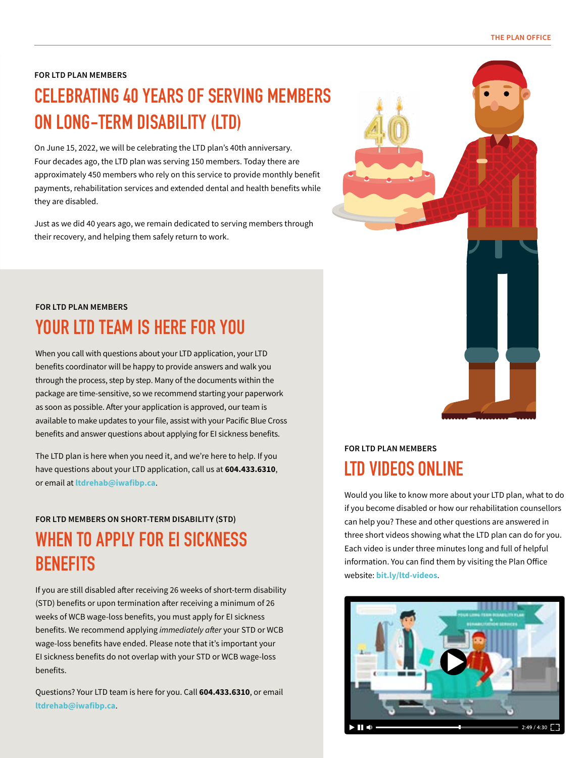#### **FOR LTD PLAN MEMBERS**

## **CELEBRATING 40 YEARS OF SERVING MEMBERS ON LONG-TERM DISABILITY (LTD)**

On June 15, 2022, we will be celebrating the LTD plan's 40th anniversary. Four decades ago, the LTD plan was serving 150 members. Today there are approximately 450 members who rely on this service to provide monthly benefit payments, rehabilitation services and extended dental and health benefits while they are disabled.

Just as we did 40 years ago, we remain dedicated to serving members through their recovery, and helping them safely return to work.

## **FOR LTD PLAN MEMBERS YOUR LTD TEAM IS HERE FOR YOU**

When you call with questions about your LTD application, your LTD benefits coordinator will be happy to provide answers and walk you through the process, step by step. Many of the documents within the package are time-sensitive, so we recommend starting your paperwork as soon as possible. After your application is approved, our team is available to make updates to your file, assist with your Pacific Blue Cross benefits and answer questions about applying for EI sickness benefits.

The LTD plan is here when you need it, and we're here to help. If you have questions about your LTD application, call us at **[604.433.6310](tel:6044336310)**, or email at **[ltdrehab@iwafibp.ca](mailto:ltdrehab@iwafibp.ca)**.

### **FOR LTD MEMBERS ON SHORT-TERM DISABILITY (STD)**

## **WHEN TO APPLY FOR EI SICKNESS BENEFITS**

If you are still disabled after receiving 26 weeks of short-term disability (STD) benefits or upon termination after receiving a minimum of 26 weeks of WCB wage-loss benefits, you must apply for EI sickness benefits. We recommend applying *immediately after* your STD or WCB wage-loss benefits have ended. Please note that it's important your EI sickness benefits do not overlap with your STD or WCB wage-loss benefits.

Questions? Your LTD team is here for you. Call **[604.433.6310](tel:6044336310)**, or email **[ltdrehab@iwafibp.ca](mailto:ltdrehab@iwafibp.ca)**.

## **FOR LTD PLAN MEMBERS LTD VIDEOS ONLINE**

Would you like to know more about your LTD plan, what to do if you become disabled or how our rehabilitation counsellors can help you? These and other questions are answered in three short videos showing what the LTD plan can do for you. Each video is under three minutes long and full of helpful information. You can find them by visiting the Plan Office website: **[bit.ly/ltd-videos](http://www.iwafibp.ca/ltd-plan-videos)**.

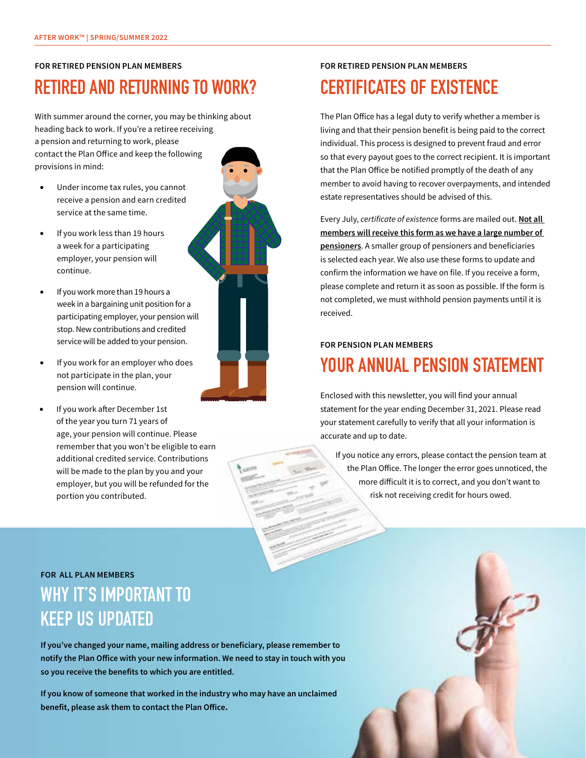#### **FOR RETIRED PENSION PLAN MEMBERS**

## **RETIRED AND RETURNING TO WORK?**

With summer around the corner, you may be thinking about heading back to work. If you're a retiree receiving a pension and returning to work, please contact the Plan Office and keep the following provisions in mind:

- Under income tax rules, you cannot receive a pension and earn credited service at the same time.
- If you work less than 19 hours a week for a participating employer, your pension will continue.
- If you work more than 19 hours a week in a bargaining unit position for a participating employer, your pension will stop. New contributions and credited service will be added to your pension.
- If you work for an employer who does not participate in the plan, your pension will continue.
- If you work after December 1st of the year you turn 71 years of age, your pension will continue. Please remember that you won't be eligible to earn additional credited service. Contributions will be made to the plan by you and your employer, but you will be refunded for the portion you contributed.

### **FOR RETIRED PENSION PLAN MEMBERS CERTIFICATES OF EXISTENCE**

The Plan Office has a legal duty to verify whether a member is living and that their pension benefit is being paid to the correct individual. This process is designed to prevent fraud and error so that every payout goes to the correct recipient. It is important that the Plan Office be notified promptly of the death of any member to avoid having to recover overpayments, and intended estate representatives should be advised of this.

Every July, *certificate of existence* forms are mailed out. **Not all members will receive this form as we have a large number of pensioners**. A smaller group of pensioners and beneficiaries is selected each year. We also use these forms to update and confirm the information we have on file. If you receive a form, please complete and return it as soon as possible. If the form is not completed, we must withhold pension payments until it is received.

### **FOR PENSION PLAN MEMBERS**

## **YOUR ANNUAL PENSION STATEMENT**

Enclosed with this newsletter, you will find your annual statement for the year ending December 31, 2021. Please read your statement carefully to verify that all your information is accurate and up to date.

If you notice any errors, please contact the pension team at the Plan Office. The longer the error goes unnoticed, the more difficult it is to correct, and you don't want to risk not receiving credit for hours owed.

## **FOR ALL PLAN MEMBERS WHY IT'S IMPORTANT TO KEEP US UPDATED**

**If you've changed your name, mailing address or beneficiary, please remember to notify the Plan Office with your new information. We need to stay in touch with you so you receive the benefits to which you are entitled.**

**If you know of someone that worked in the industry who may have an unclaimed benefit, please ask them to [contact the Plan Office](http://www.iwafibp.ca/contact-us).**